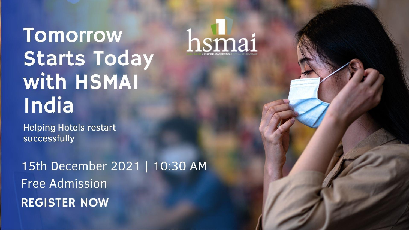## **Tomorrow Starts Today with HSMAI** India

**Helping Hotels restart** successfully

15th December 2021 | 10:30 AM **Free Admission REGISTER NOW** 

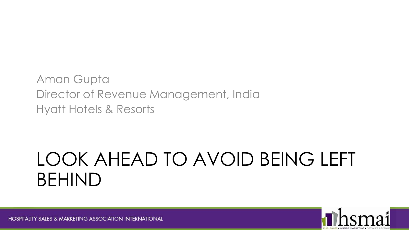Aman Gupta Director of Revenue Management, India Hyatt Hotels & Resorts

## LOOK AHEAD TO AVOID BEING LEFT BEHIND

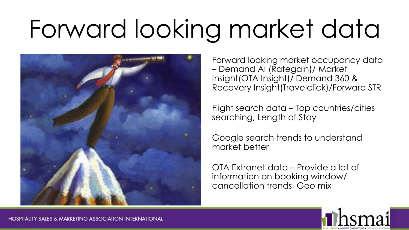# Forward looking market data



Forward looking market occupancy data – Demand AI (Rategain)/ Market Insight(OTA Insight)/ Demand 360 & Recovery Insight(Travelclick)/Forward STR

Flight search data – Top countries/cities searching, Length of Stay

Google search trends to understand market better

OTA Extranet data – Provide a lot of information on booking window/ cancellation trends, Geo mix

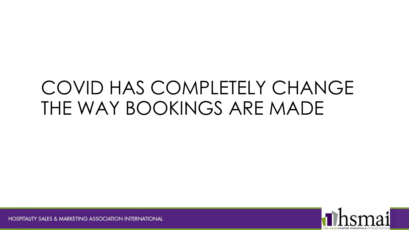## COVID HAS COMPLETELY CHANGE THE WAY BOOKINGS ARE MADE

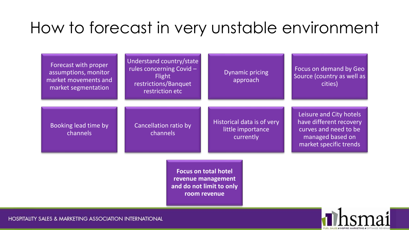#### How to forecast in very unstable environment

|                                                                                               | Forecast with proper<br>assumptions, monitor<br>market movements and<br>market segmentation | Understand country/state<br>rules concerning Covid-<br><b>Flight</b><br>restrictions/Banquet<br>restriction etc | <b>Dynamic pricing</b><br>approach                           | Focus on demand by Geo<br>Source (country as well as<br>cities)                                                           |
|-----------------------------------------------------------------------------------------------|---------------------------------------------------------------------------------------------|-----------------------------------------------------------------------------------------------------------------|--------------------------------------------------------------|---------------------------------------------------------------------------------------------------------------------------|
|                                                                                               | Booking lead time by<br>channels                                                            | Cancellation ratio by<br>channels                                                                               | Historical data is of very<br>little importance<br>currently | Leisure and City hotels<br>have different recovery<br>curves and need to be<br>managed based on<br>market specific trends |
| <b>Focus on total hotel</b><br>revenue management<br>and do not limit to only<br>room revenue |                                                                                             |                                                                                                                 |                                                              |                                                                                                                           |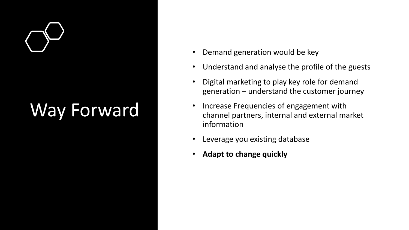## Way Forward

- Demand generation would be key
- Understand and analyse the profile of the guests
- Digital marketing to play key role for demand generation – understand the customer journey
- Increase Frequencies of engagement with channel partners, internal and external market information
- Leverage you existing database
- **Adapt to change quickly**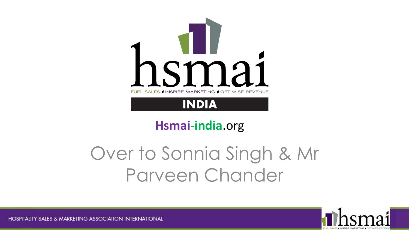

#### **Hsmai-india**.org

## Over to Sonnia Singh & Mr Parveen Chander